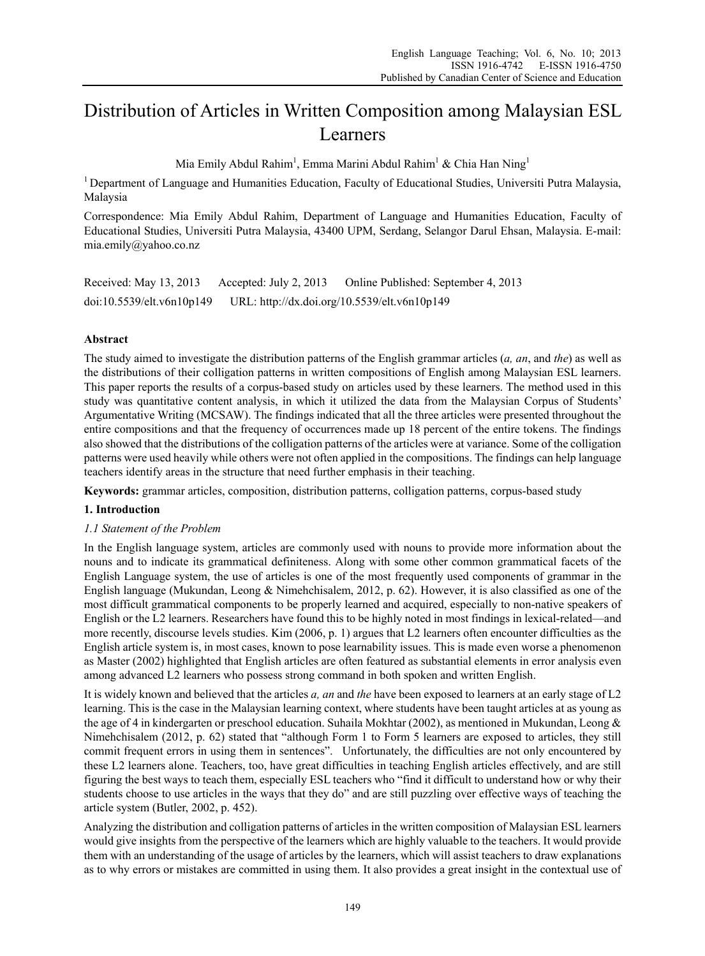# Distribution of Articles in Written Composition among Malaysian ESL Learners

Mia Emily Abdul Rahim $^{\rm l}$ , Emma Marini Abdul Rahim $^{\rm l}$  & Chia Han Ning $^{\rm l}$ 

<sup>1</sup> Department of Language and Humanities Education, Faculty of Educational Studies, Universiti Putra Malaysia, Malaysia

Correspondence: Mia Emily Abdul Rahim, Department of Language and Humanities Education, Faculty of Educational Studies, Universiti Putra Malaysia, 43400 UPM, Serdang, Selangor Darul Ehsan, Malaysia. E-mail: mia.emily@yahoo.co.nz

Received: May 13, 2013 Accepted: July 2, 2013 Online Published: September 4, 2013 doi:10.5539/elt.v6n10p149 URL: http://dx.doi.org/10.5539/elt.v6n10p149

# **Abstract**

The study aimed to investigate the distribution patterns of the English grammar articles (*a, an*, and *the*) as well as the distributions of their colligation patterns in written compositions of English among Malaysian ESL learners. This paper reports the results of a corpus-based study on articles used by these learners. The method used in this study was quantitative content analysis, in which it utilized the data from the Malaysian Corpus of Students' Argumentative Writing (MCSAW). The findings indicated that all the three articles were presented throughout the entire compositions and that the frequency of occurrences made up 18 percent of the entire tokens. The findings also showed that the distributions of the colligation patterns of the articles were at variance. Some of the colligation patterns were used heavily while others were not often applied in the compositions. The findings can help language teachers identify areas in the structure that need further emphasis in their teaching.

**Keywords:** grammar articles, composition, distribution patterns, colligation patterns, corpus-based study

# **1. Introduction**

# *1.1 Statement of the Problem*

In the English language system, articles are commonly used with nouns to provide more information about the nouns and to indicate its grammatical definiteness. Along with some other common grammatical facets of the English Language system, the use of articles is one of the most frequently used components of grammar in the English language (Mukundan, Leong & Nimehchisalem, 2012, p. 62). However, it is also classified as one of the most difficult grammatical components to be properly learned and acquired, especially to non-native speakers of English or the L2 learners. Researchers have found this to be highly noted in most findings in lexical-related—and more recently, discourse levels studies. Kim (2006, p. 1) argues that L2 learners often encounter difficulties as the English article system is, in most cases, known to pose learnability issues. This is made even worse a phenomenon as Master (2002) highlighted that English articles are often featured as substantial elements in error analysis even among advanced L2 learners who possess strong command in both spoken and written English.

It is widely known and believed that the articles *a, an* and *the* have been exposed to learners at an early stage of L2 learning. This is the case in the Malaysian learning context, where students have been taught articles at as young as the age of 4 in kindergarten or preschool education. Suhaila Mokhtar (2002), as mentioned in Mukundan, Leong & Nimehchisalem (2012, p. 62) stated that "although Form 1 to Form 5 learners are exposed to articles, they still commit frequent errors in using them in sentences". Unfortunately, the difficulties are not only encountered by these L2 learners alone. Teachers, too, have great difficulties in teaching English articles effectively, and are still figuring the best ways to teach them, especially ESL teachers who "find it difficult to understand how or why their students choose to use articles in the ways that they do" and are still puzzling over effective ways of teaching the article system (Butler, 2002, p. 452).

Analyzing the distribution and colligation patterns of articles in the written composition of Malaysian ESL learners would give insights from the perspective of the learners which are highly valuable to the teachers. It would provide them with an understanding of the usage of articles by the learners, which will assist teachers to draw explanations as to why errors or mistakes are committed in using them. It also provides a great insight in the contextual use of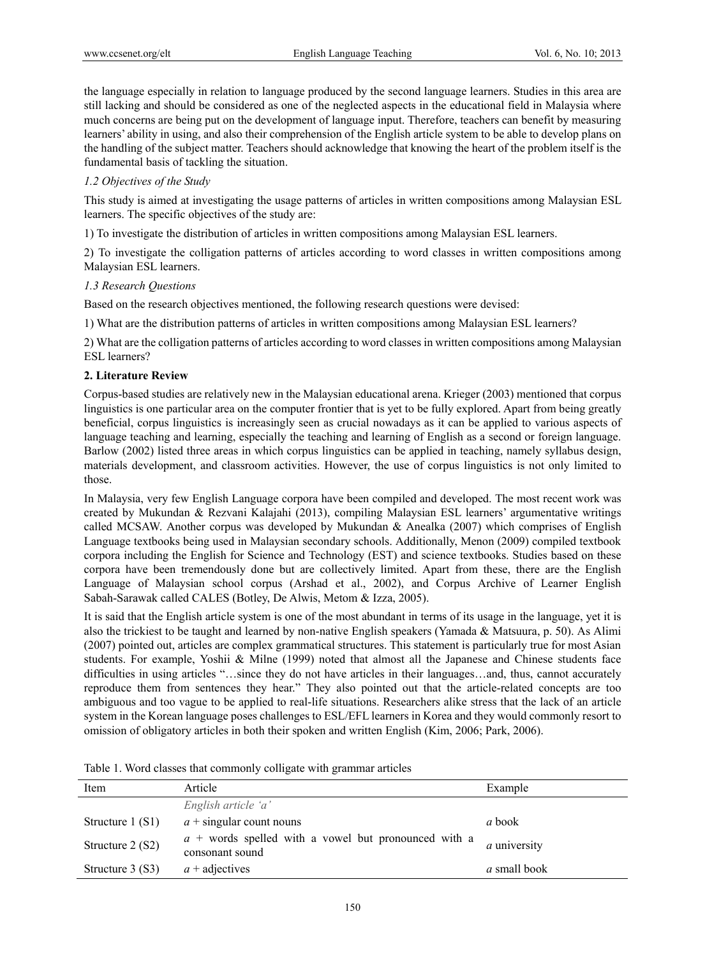the language especially in relation to language produced by the second language learners. Studies in this area are still lacking and should be considered as one of the neglected aspects in the educational field in Malaysia where much concerns are being put on the development of language input. Therefore, teachers can benefit by measuring learners' ability in using, and also their comprehension of the English article system to be able to develop plans on the handling of the subject matter. Teachers should acknowledge that knowing the heart of the problem itself is the fundamental basis of tackling the situation.

# *1.2 Objectives of the Study*

This study is aimed at investigating the usage patterns of articles in written compositions among Malaysian ESL learners. The specific objectives of the study are:

1) To investigate the distribution of articles in written compositions among Malaysian ESL learners.

2) To investigate the colligation patterns of articles according to word classes in written compositions among Malaysian ESL learners.

## *1.3 Research Questions*

Based on the research objectives mentioned, the following research questions were devised:

1) What are the distribution patterns of articles in written compositions among Malaysian ESL learners?

2) What are the colligation patterns of articles according to word classes in written compositions among Malaysian ESL learners?

## **2. Literature Review**

Corpus-based studies are relatively new in the Malaysian educational arena. Krieger (2003) mentioned that corpus linguistics is one particular area on the computer frontier that is yet to be fully explored. Apart from being greatly beneficial, corpus linguistics is increasingly seen as crucial nowadays as it can be applied to various aspects of language teaching and learning, especially the teaching and learning of English as a second or foreign language. Barlow (2002) listed three areas in which corpus linguistics can be applied in teaching, namely syllabus design, materials development, and classroom activities. However, the use of corpus linguistics is not only limited to those.

In Malaysia, very few English Language corpora have been compiled and developed. The most recent work was created by Mukundan & Rezvani Kalajahi (2013), compiling Malaysian ESL learners' argumentative writings called MCSAW. Another corpus was developed by Mukundan  $\&$  Anealka (2007) which comprises of English Language textbooks being used in Malaysian secondary schools. Additionally, Menon (2009) compiled textbook corpora including the English for Science and Technology (EST) and science textbooks. Studies based on these corpora have been tremendously done but are collectively limited. Apart from these, there are the English Language of Malaysian school corpus (Arshad et al., 2002), and Corpus Archive of Learner English Sabah-Sarawak called CALES (Botley, De Alwis, Metom & Izza, 2005).

It is said that the English article system is one of the most abundant in terms of its usage in the language, yet it is also the trickiest to be taught and learned by non-native English speakers (Yamada & Matsuura, p. 50). As Alimi (2007) pointed out, articles are complex grammatical structures. This statement is particularly true for most Asian students. For example, Yoshii & Milne (1999) noted that almost all the Japanese and Chinese students face difficulties in using articles "...since they do not have articles in their languages...and, thus, cannot accurately reproduce them from sentences they hear." They also pointed out that the article-related concepts are too ambiguous and too vague to be applied to real-life situations. Researchers alike stress that the lack of an article system in the Korean language poses challenges to ESL/EFL learners in Korea and they would commonly resort to omission of obligatory articles in both their spoken and written English (Kim, 2006; Park, 2006).

| Item              | Article                                                                   | Example             |
|-------------------|---------------------------------------------------------------------------|---------------------|
|                   | English article 'a'                                                       |                     |
| Structure $1(S1)$ | $a +$ singular count nouns                                                | a book              |
| Structure $2(S2)$ | $a +$ words spelled with a vowel but pronounced with a<br>consonant sound | <i>a</i> university |
| Structure $3(S3)$ | $a +$ adjectives                                                          | <i>a</i> small book |

Table 1. Word classes that commonly colligate with grammar articles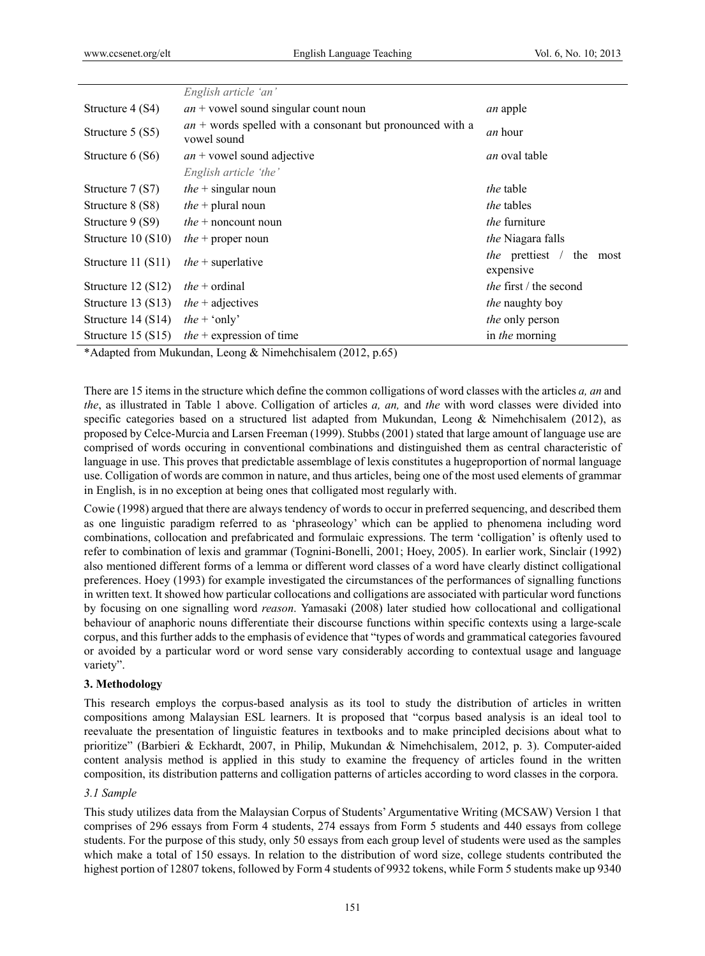|                      | English article 'an'                                                       |                                                    |  |  |
|----------------------|----------------------------------------------------------------------------|----------------------------------------------------|--|--|
| Structure 4 (S4)     | $an +$ vowel sound singular count noun                                     | <i>an</i> apple                                    |  |  |
| Structure 5 (S5)     | $an +$ words spelled with a consonant but pronounced with a<br>vowel sound | <i>an</i> hour                                     |  |  |
| Structure $6(S6)$    | $an +$ vowel sound adjective                                               | an oval table                                      |  |  |
|                      | English article 'the'                                                      |                                                    |  |  |
| Structure 7 (S7)     | <i>the</i> + singular noun<br><i>the</i> table                             |                                                    |  |  |
| Structure 8 (S8)     | <i>the</i> + plural noun<br><i>the</i> tables                              |                                                    |  |  |
| Structure 9 (S9)     | <i>the</i> furniture<br><i>the</i> $+$ noncount noun                       |                                                    |  |  |
| Structure $10(S10)$  | <i>the</i> + proper noun                                                   | the Niagara falls                                  |  |  |
| Structure 11 (S11)   | <i>the</i> + superlative                                                   | <i>the</i> prettiest /<br>the<br>most<br>expensive |  |  |
| Structure $12 (S12)$ | <i>the</i> + ordinal                                                       | <i>the</i> first / the second                      |  |  |
| Structure $13 (S13)$ | <i>the</i> + adjectives<br><i>the</i> naughty boy                          |                                                    |  |  |
| Structure $14(S14)$  | <i>the</i> + 'only'                                                        | the only person                                    |  |  |
| Structure $15 (S15)$ | $the$ + expression of time                                                 | in the morning                                     |  |  |

\*Adapted from Mukundan, Leong & Nimehchisalem (2012, p.65)

There are 15 items in the structure which define the common colligations of word classes with the articles *a, an* and *the*, as illustrated in Table 1 above. Colligation of articles *a, an,* and *the* with word classes were divided into specific categories based on a structured list adapted from Mukundan, Leong & Nimehchisalem (2012), as proposed by Celce-Murcia and Larsen Freeman (1999). Stubbs (2001) stated that large amount of language use are comprised of words occuring in conventional combinations and distinguished them as central characteristic of language in use. This proves that predictable assemblage of lexis constitutes a hugeproportion of normal language use. Colligation of words are common in nature, and thus articles, being one of the most used elements of grammar in English, is in no exception at being ones that colligated most regularly with.

Cowie (1998) argued that there are always tendency of words to occur in preferred sequencing, and described them as one linguistic paradigm referred to as 'phraseology' which can be applied to phenomena including word combinations, collocation and prefabricated and formulaic expressions. The term 'colligation' is oftenly used to refer to combination of lexis and grammar (Tognini-Bonelli, 2001; Hoey, 2005). In earlier work, Sinclair (1992) also mentioned different forms of a lemma or different word classes of a word have clearly distinct colligational preferences. Hoey (1993) for example investigated the circumstances of the performances of signalling functions in written text. It showed how particular collocations and colligations are associated with particular word functions by focusing on one signalling word *reason*. Yamasaki (2008) later studied how collocational and colligational behaviour of anaphoric nouns differentiate their discourse functions within specific contexts using a large-scale corpus, and this further adds to the emphasis of evidence that "types of words and grammatical categories favoured or avoided by a particular word or word sense vary considerably according to contextual usage and language variety".

## **3. Methodology**

This research employs the corpus-based analysis as its tool to study the distribution of articles in written compositions among Malaysian ESL learners. It is proposed that "corpus based analysis is an ideal tool to reevaluate the presentation of linguistic features in textbooks and to make principled decisions about what to prioritize" (Barbieri & Eckhardt, 2007, in Philip, Mukundan & Nimehchisalem, 2012, p. 3). Computer-aided content analysis method is applied in this study to examine the frequency of articles found in the written composition, its distribution patterns and colligation patterns of articles according to word classes in the corpora.

#### *3.1 Sample*

This study utilizes data from the Malaysian Corpus of Students' Argumentative Writing (MCSAW) Version 1 that comprises of 296 essays from Form 4 students, 274 essays from Form 5 students and 440 essays from college students. For the purpose of this study, only 50 essays from each group level of students were used as the samples which make a total of 150 essays. In relation to the distribution of word size, college students contributed the highest portion of 12807 tokens, followed by Form 4 students of 9932 tokens, while Form 5 students make up 9340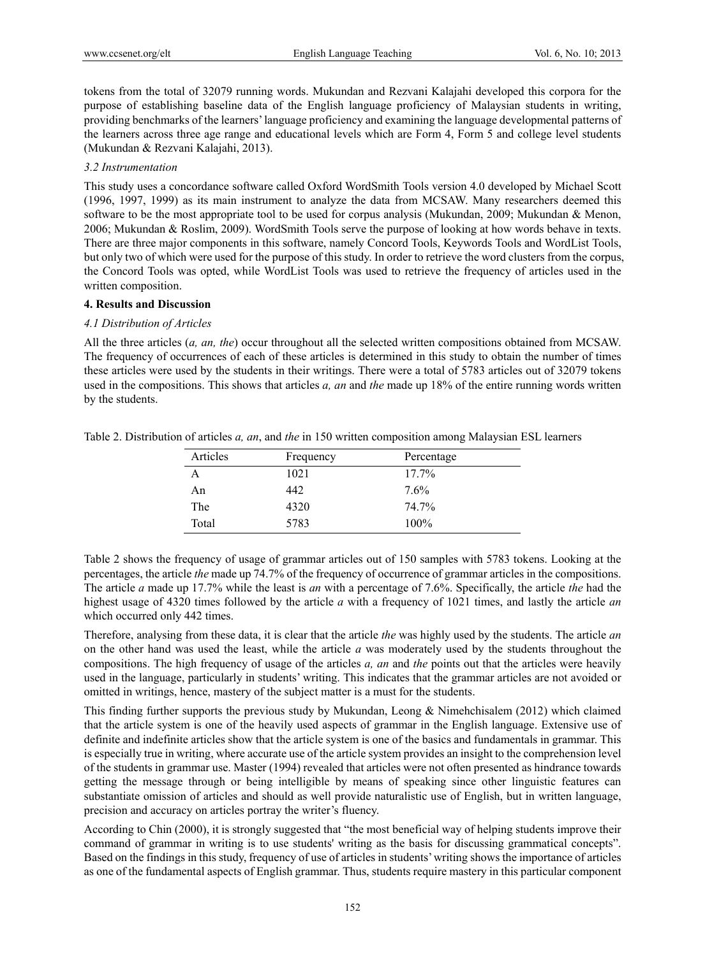tokens from the total of 32079 running words. Mukundan and Rezvani Kalajahi developed this corpora for the purpose of establishing baseline data of the English language proficiency of Malaysian students in writing, providing benchmarks of the learners' language proficiency and examining the language developmental patterns of the learners across three age range and educational levels which are Form 4, Form 5 and college level students (Mukundan & Rezvani Kalajahi, 2013).

#### *3.2 Instrumentation*

This study uses a concordance software called Oxford WordSmith Tools version 4.0 developed by Michael Scott (1996, 1997, 1999) as its main instrument to analyze the data from MCSAW. Many researchers deemed this software to be the most appropriate tool to be used for corpus analysis (Mukundan, 2009; Mukundan & Menon, 2006; Mukundan & Roslim, 2009). WordSmith Tools serve the purpose of looking at how words behave in texts. There are three major components in this software, namely Concord Tools, Keywords Tools and WordList Tools, but only two of which were used for the purpose of this study. In order to retrieve the word clusters from the corpus, the Concord Tools was opted, while WordList Tools was used to retrieve the frequency of articles used in the written composition.

#### **4. Results and Discussion**

# *4.1 Distribution of Articles*

All the three articles (*a, an, the*) occur throughout all the selected written compositions obtained from MCSAW. The frequency of occurrences of each of these articles is determined in this study to obtain the number of times these articles were used by the students in their writings. There were a total of 5783 articles out of 32079 tokens used in the compositions. This shows that articles *a, an* and *the* made up 18% of the entire running words written by the students.

| Articles | Frequency | Percentage |
|----------|-----------|------------|
|          | 1021      | 17.7%      |
| An       | 442       | 7.6%       |
| The      | 4320      | 74.7%      |
| Total    | 5783      | $100\%$    |

Table 2. Distribution of articles *a, an*, and *the* in 150 written composition among Malaysian ESL learners

Table 2 shows the frequency of usage of grammar articles out of 150 samples with 5783 tokens. Looking at the percentages, the article *the* made up 74.7% of the frequency of occurrence of grammar articles in the compositions. The article *a* made up 17.7% while the least is *an* with a percentage of 7.6%. Specifically, the article *the* had the highest usage of 4320 times followed by the article *a* with a frequency of 1021 times, and lastly the article *an* which occurred only 442 times.

Therefore, analysing from these data, it is clear that the article *the* was highly used by the students. The article *an* on the other hand was used the least, while the article *a* was moderately used by the students throughout the compositions. The high frequency of usage of the articles *a, an* and *the* points out that the articles were heavily used in the language, particularly in students' writing. This indicates that the grammar articles are not avoided or omitted in writings, hence, mastery of the subject matter is a must for the students.

This finding further supports the previous study by Mukundan, Leong & Nimehchisalem (2012) which claimed that the article system is one of the heavily used aspects of grammar in the English language. Extensive use of definite and indefinite articles show that the article system is one of the basics and fundamentals in grammar. This is especially true in writing, where accurate use of the article system provides an insight to the comprehension level of the students in grammar use. Master (1994) revealed that articles were not often presented as hindrance towards getting the message through or being intelligible by means of speaking since other linguistic features can substantiate omission of articles and should as well provide naturalistic use of English, but in written language, precision and accuracy on articles portray the writer's fluency.

According to Chin (2000), it is strongly suggested that "the most beneficial way of helping students improve their command of grammar in writing is to use students' writing as the basis for discussing grammatical concepts". Based on the findings in this study, frequency of use of articles in students' writing shows the importance of articles as one of the fundamental aspects of English grammar. Thus, students require mastery in this particular component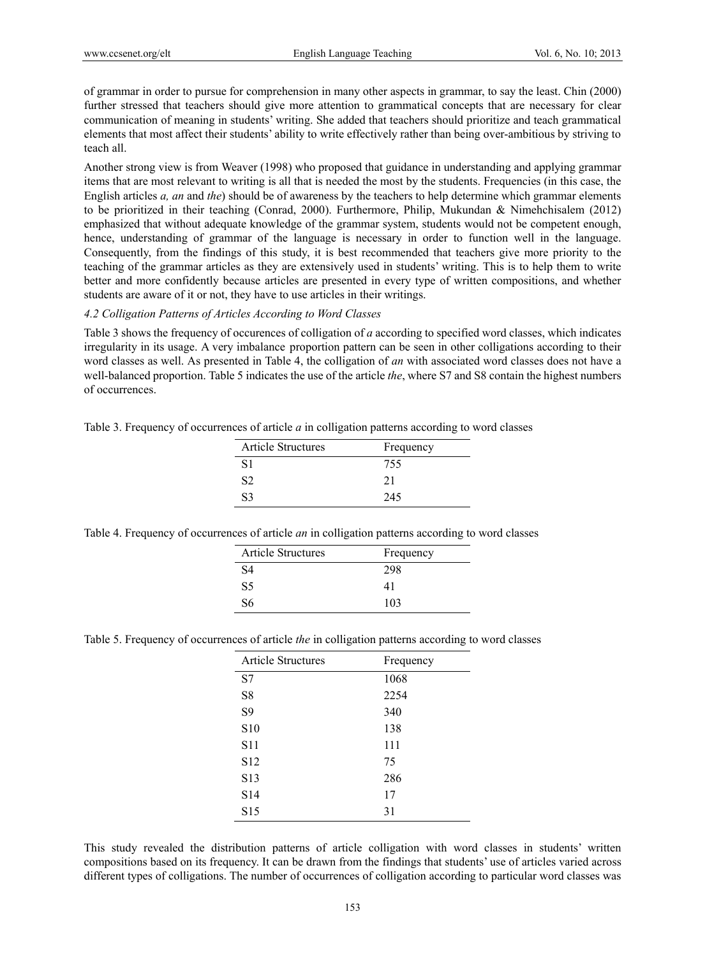of grammar in order to pursue for comprehension in many other aspects in grammar, to say the least. Chin (2000) further stressed that teachers should give more attention to grammatical concepts that are necessary for clear communication of meaning in students' writing. She added that teachers should prioritize and teach grammatical elements that most affect their students' ability to write effectively rather than being over-ambitious by striving to teach all.

Another strong view is from Weaver (1998) who proposed that guidance in understanding and applying grammar items that are most relevant to writing is all that is needed the most by the students. Frequencies (in this case, the English articles *a, an* and *the*) should be of awareness by the teachers to help determine which grammar elements to be prioritized in their teaching (Conrad, 2000). Furthermore, Philip, Mukundan & Nimehchisalem (2012) emphasized that without adequate knowledge of the grammar system, students would not be competent enough, hence, understanding of grammar of the language is necessary in order to function well in the language. Consequently, from the findings of this study, it is best recommended that teachers give more priority to the teaching of the grammar articles as they are extensively used in students' writing. This is to help them to write better and more confidently because articles are presented in every type of written compositions, and whether students are aware of it or not, they have to use articles in their writings.

#### *4.2 Colligation Patterns of Articles According to Word Classes*

Table 3 shows the frequency of occurences of colligation of *a* according to specified word classes, which indicates irregularity in its usage. A very imbalance proportion pattern can be seen in other colligations according to their word classes as well. As presented in Table 4, the colligation of *an* with associated word classes does not have a well-balanced proportion. Table 5 indicates the use of the article *the*, where S7 and S8 contain the highest numbers of occurrences.

Table 3. Frequency of occurrences of article *a* in colligation patterns according to word classes

| <b>Article Structures</b> | Frequency |
|---------------------------|-----------|
| S <sub>1</sub>            | 755       |
| S <sub>2</sub>            | 21        |
| S <sub>3</sub>            | 245       |
|                           |           |

|  |  | Table 4. Frequency of occurrences of article <i>an</i> in colligation patterns according to word classes |  |
|--|--|----------------------------------------------------------------------------------------------------------|--|
|  |  |                                                                                                          |  |

| <b>Article Structures</b> | Frequency |
|---------------------------|-----------|
| S4                        | 298       |
| S5                        | 41        |
| S6                        | 103       |

Table 5. Frequency of occurrences of article *the* in colligation patterns according to word classes

| <b>Article Structures</b> | Frequency |
|---------------------------|-----------|
| S7                        | 1068      |
| S <sub>8</sub>            | 2254      |
| S <sub>9</sub>            | 340       |
| S <sub>10</sub>           | 138       |
| S <sub>11</sub>           | 111       |
| S <sub>12</sub>           | 75        |
| S <sub>13</sub>           | 286       |
| S <sub>14</sub>           | 17        |
| S <sub>15</sub>           | 31        |

This study revealed the distribution patterns of article colligation with word classes in students' written compositions based on its frequency. It can be drawn from the findings that students' use of articles varied across different types of colligations. The number of occurrences of colligation according to particular word classes was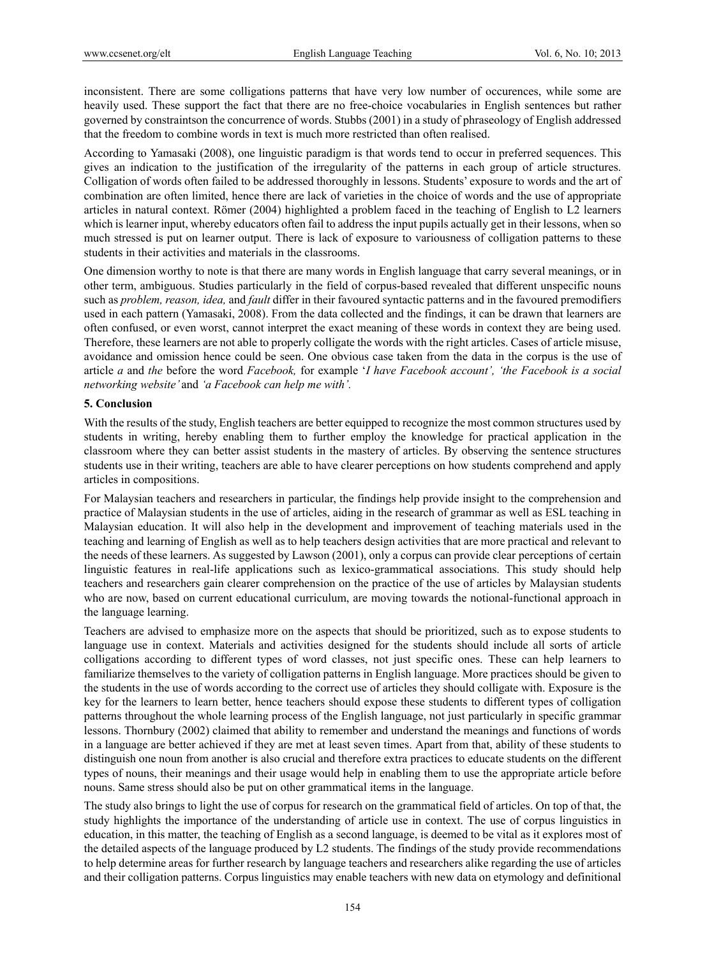inconsistent. There are some colligations patterns that have very low number of occurences, while some are heavily used. These support the fact that there are no free-choice vocabularies in English sentences but rather governed by constraintson the concurrence of words. Stubbs (2001) in a study of phraseology of English addressed that the freedom to combine words in text is much more restricted than often realised.

According to Yamasaki (2008), one linguistic paradigm is that words tend to occur in preferred sequences. This gives an indication to the justification of the irregularity of the patterns in each group of article structures. Colligation of words often failed to be addressed thoroughly in lessons. Students' exposure to words and the art of combination are often limited, hence there are lack of varieties in the choice of words and the use of appropriate articles in natural context. Römer (2004) highlighted a problem faced in the teaching of English to L2 learners which is learner input, whereby educators often fail to address the input pupils actually get in their lessons, when so much stressed is put on learner output. There is lack of exposure to variousness of colligation patterns to these students in their activities and materials in the classrooms.

One dimension worthy to note is that there are many words in English language that carry several meanings, or in other term, ambiguous. Studies particularly in the field of corpus-based revealed that different unspecific nouns such as *problem, reason, idea,* and *fault* differ in their favoured syntactic patterns and in the favoured premodifiers used in each pattern (Yamasaki, 2008). From the data collected and the findings, it can be drawn that learners are often confused, or even worst, cannot interpret the exact meaning of these words in context they are being used. Therefore, these learners are not able to properly colligate the words with the right articles. Cases of article misuse, avoidance and omission hence could be seen. One obvious case taken from the data in the corpus is the use of article *a* and *the* before the word *Facebook,* for example '*I have Facebook account', 'the Facebook is a social networking website'* and *'a Facebook can help me with'.* 

#### **5. Conclusion**

With the results of the study, English teachers are better equipped to recognize the most common structures used by students in writing, hereby enabling them to further employ the knowledge for practical application in the classroom where they can better assist students in the mastery of articles. By observing the sentence structures students use in their writing, teachers are able to have clearer perceptions on how students comprehend and apply articles in compositions.

For Malaysian teachers and researchers in particular, the findings help provide insight to the comprehension and practice of Malaysian students in the use of articles, aiding in the research of grammar as well as ESL teaching in Malaysian education. It will also help in the development and improvement of teaching materials used in the teaching and learning of English as well as to help teachers design activities that are more practical and relevant to the needs of these learners. As suggested by Lawson (2001), only a corpus can provide clear perceptions of certain linguistic features in real-life applications such as lexico-grammatical associations. This study should help teachers and researchers gain clearer comprehension on the practice of the use of articles by Malaysian students who are now, based on current educational curriculum, are moving towards the notional-functional approach in the language learning.

Teachers are advised to emphasize more on the aspects that should be prioritized, such as to expose students to language use in context. Materials and activities designed for the students should include all sorts of article colligations according to different types of word classes, not just specific ones. These can help learners to familiarize themselves to the variety of colligation patterns in English language. More practices should be given to the students in the use of words according to the correct use of articles they should colligate with. Exposure is the key for the learners to learn better, hence teachers should expose these students to different types of colligation patterns throughout the whole learning process of the English language, not just particularly in specific grammar lessons. Thornbury (2002) claimed that ability to remember and understand the meanings and functions of words in a language are better achieved if they are met at least seven times. Apart from that, ability of these students to distinguish one noun from another is also crucial and therefore extra practices to educate students on the different types of nouns, their meanings and their usage would help in enabling them to use the appropriate article before nouns. Same stress should also be put on other grammatical items in the language.

The study also brings to light the use of corpus for research on the grammatical field of articles. On top of that, the study highlights the importance of the understanding of article use in context. The use of corpus linguistics in education, in this matter, the teaching of English as a second language, is deemed to be vital as it explores most of the detailed aspects of the language produced by L2 students. The findings of the study provide recommendations to help determine areas for further research by language teachers and researchers alike regarding the use of articles and their colligation patterns. Corpus linguistics may enable teachers with new data on etymology and definitional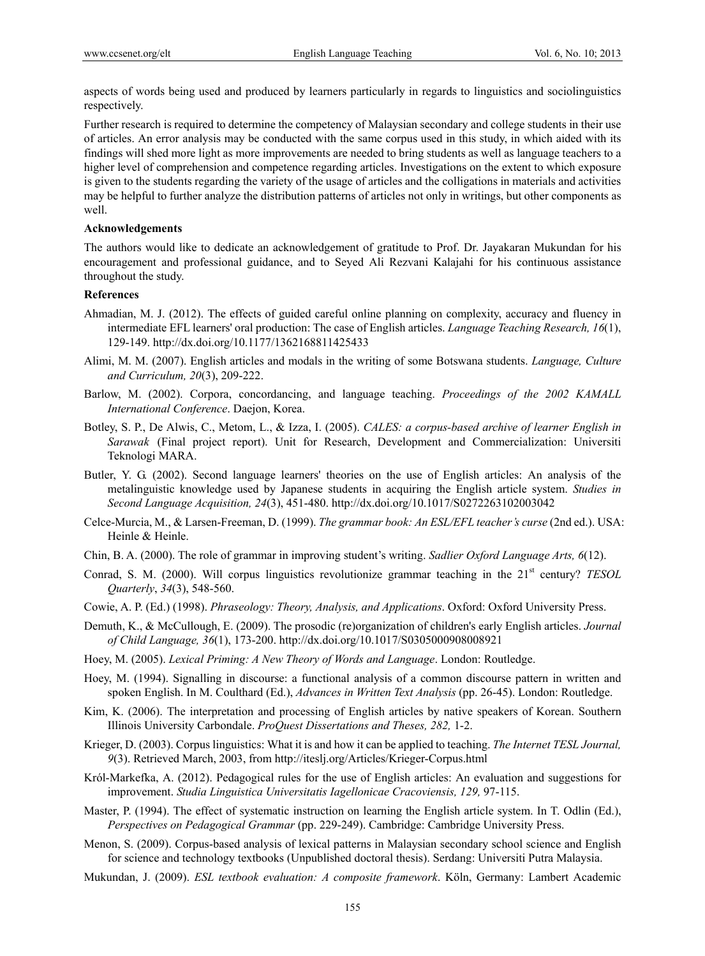aspects of words being used and produced by learners particularly in regards to linguistics and sociolinguistics respectively.

Further research is required to determine the competency of Malaysian secondary and college students in their use of articles. An error analysis may be conducted with the same corpus used in this study, in which aided with its findings will shed more light as more improvements are needed to bring students as well as language teachers to a higher level of comprehension and competence regarding articles. Investigations on the extent to which exposure is given to the students regarding the variety of the usage of articles and the colligations in materials and activities may be helpful to further analyze the distribution patterns of articles not only in writings, but other components as well.

#### **Acknowledgements**

The authors would like to dedicate an acknowledgement of gratitude to Prof. Dr. Jayakaran Mukundan for his encouragement and professional guidance, and to Seyed Ali Rezvani Kalajahi for his continuous assistance throughout the study.

# **References**

- Ahmadian, M. J. (2012). The effects of guided careful online planning on complexity, accuracy and fluency in intermediate EFL learners' oral production: The case of English articles. *Language Teaching Research, 16*(1), 129-149. http://dx.doi.org/10.1177/1362168811425433
- Alimi, M. M. (2007). English articles and modals in the writing of some Botswana students. *Language, Culture and Curriculum, 20*(3), 209-222.
- Barlow, M. (2002). Corpora, concordancing, and language teaching. *Proceedings of the 2002 KAMALL International Conference*. Daejon, Korea.
- Botley, S. P., De Alwis, C., Metom, L., & Izza, I. (2005). *CALES: a corpus-based archive of learner English in Sarawak* (Final project report). Unit for Research, Development and Commercialization: Universiti Teknologi MARA.
- Butler, Y. G. (2002). Second language learners' theories on the use of English articles: An analysis of the metalinguistic knowledge used by Japanese students in acquiring the English article system. *Studies in Second Language Acquisition, 24*(3), 451-480. http://dx.doi.org/10.1017/S0272263102003042
- Celce-Murcia, M., & Larsen-Freeman, D. (1999). *The grammar book: An ESL/EFL teacher's curse* (2nd ed.). USA: Heinle & Heinle.
- Chin, B. A. (2000). The role of grammar in improving student's writing. *Sadlier Oxford Language Arts, 6*(12).
- Conrad, S. M. (2000). Will corpus linguistics revolutionize grammar teaching in the 21<sup>st</sup> century? *TESOL Quarterly*, *34*(3), 548-560.
- Cowie, A. P. (Ed.) (1998). *Phraseology: Theory, Analysis, and Applications*. Oxford: Oxford University Press.
- Demuth, K., & McCullough, E. (2009). The prosodic (re)organization of children's early English articles. *Journal of Child Language, 36*(1), 173-200. http://dx.doi.org/10.1017/S0305000908008921
- Hoey, M. (2005). *Lexical Priming: A New Theory of Words and Language*. London: Routledge.
- Hoey, M. (1994). Signalling in discourse: a functional analysis of a common discourse pattern in written and spoken English. In M. Coulthard (Ed.), *Advances in Written Text Analysis* (pp. 26-45). London: Routledge.
- Kim, K. (2006). The interpretation and processing of English articles by native speakers of Korean. Southern Illinois University Carbondale. *ProQuest Dissertations and Theses, 282,* 1-2.
- Krieger, D. (2003). Corpus linguistics: What it is and how it can be applied to teaching. *The Internet TESL Journal, 9*(3). Retrieved March, 2003, from http://iteslj.org/Articles/Krieger-Corpus.html
- Król-Markefka, A. (2012). Pedagogical rules for the use of English articles: An evaluation and suggestions for improvement. *Studia Linguistica Universitatis Iagellonicae Cracoviensis, 129,* 97-115.
- Master, P. (1994). The effect of systematic instruction on learning the English article system. In T. Odlin (Ed.), *Perspectives on Pedagogical Grammar* (pp. 229-249). Cambridge: Cambridge University Press.
- Menon, S. (2009). Corpus-based analysis of lexical patterns in Malaysian secondary school science and English for science and technology textbooks (Unpublished doctoral thesis). Serdang: Universiti Putra Malaysia.
- Mukundan, J. (2009). *ESL textbook evaluation: A composite framework*. Köln, Germany: Lambert Academic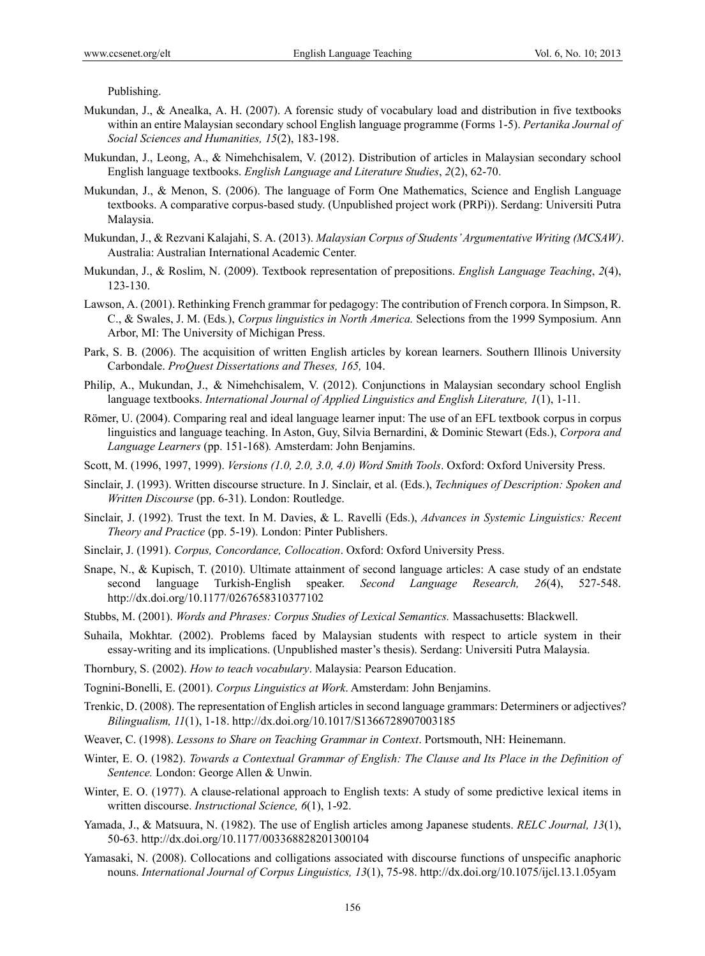Publishing.

- Mukundan, J., & Anealka, A. H. (2007). A forensic study of vocabulary load and distribution in five textbooks within an entire Malaysian secondary school English language programme (Forms 1-5). *Pertanika Journal of Social Sciences and Humanities, 15*(2), 183-198.
- Mukundan, J., Leong, A., & Nimehchisalem, V. (2012). Distribution of articles in Malaysian secondary school English language textbooks. *English Language and Literature Studies*, *2*(2), 62-70.
- Mukundan, J., & Menon, S. (2006). The language of Form One Mathematics, Science and English Language textbooks. A comparative corpus-based study. (Unpublished project work (PRPi)). Serdang: Universiti Putra Malaysia.
- Mukundan, J., & Rezvani Kalajahi, S. A. (2013). *Malaysian Corpus of Students' Argumentative Writing (MCSAW)*. Australia: Australian International Academic Center.
- Mukundan, J., & Roslim, N. (2009). Textbook representation of prepositions. *English Language Teaching*, *2*(4), 123-130.
- Lawson, A. (2001). Rethinking French grammar for pedagogy: The contribution of French corpora. In Simpson, R. C., & Swales, J. M. (Eds*.*), *Corpus linguistics in North America.* Selections from the 1999 Symposium. Ann Arbor, MI: The University of Michigan Press.
- Park, S. B. (2006). The acquisition of written English articles by korean learners. Southern Illinois University Carbondale. *ProQuest Dissertations and Theses, 165,* 104.
- Philip, A., Mukundan, J., & Nimehchisalem, V. (2012). Conjunctions in Malaysian secondary school English language textbooks. *International Journal of Applied Linguistics and English Literature, 1*(1), 1-11.
- Römer, U. (2004). Comparing real and ideal language learner input: The use of an EFL textbook corpus in corpus linguistics and language teaching. In Aston, Guy, Silvia Bernardini, & Dominic Stewart (Eds.), *Corpora and Language Learners* (pp. 151-168)*.* Amsterdam: John Benjamins.
- Scott, M. (1996, 1997, 1999). *Versions (1.0, 2.0, 3.0, 4.0) Word Smith Tools*. Oxford: Oxford University Press.
- Sinclair, J. (1993). Written discourse structure. In J. Sinclair, et al. (Eds.), *Techniques of Description: Spoken and Written Discourse* (pp. 6-31). London: Routledge.
- Sinclair, J. (1992). Trust the text. In M. Davies, & L. Ravelli (Eds.), *Advances in Systemic Linguistics: Recent Theory and Practice* (pp. 5-19). London: Pinter Publishers.
- Sinclair, J. (1991). *Corpus, Concordance, Collocation*. Oxford: Oxford University Press.
- Snape, N., & Kupisch, T. (2010). Ultimate attainment of second language articles: A case study of an endstate second language Turkish-English speaker. *Second Language Research, 26*(4), 527-548. http://dx.doi.org/10.1177/0267658310377102
- Stubbs, M. (2001). *Words and Phrases: Corpus Studies of Lexical Semantics.* Massachusetts: Blackwell.
- Suhaila, Mokhtar. (2002). Problems faced by Malaysian students with respect to article system in their essay-writing and its implications. (Unpublished master's thesis). Serdang: Universiti Putra Malaysia.
- Thornbury, S. (2002). *How to teach vocabulary*. Malaysia: Pearson Education.
- Tognini-Bonelli, E. (2001). *Corpus Linguistics at Work*. Amsterdam: John Benjamins.
- Trenkic, D. (2008). The representation of English articles in second language grammars: Determiners or adjectives? *Bilingualism, 11*(1), 1-18. http://dx.doi.org/10.1017/S1366728907003185
- Weaver, C. (1998). *Lessons to Share on Teaching Grammar in Context*. Portsmouth, NH: Heinemann.
- Winter, E. O. (1982). *Towards a Contextual Grammar of English: The Clause and Its Place in the Definition of Sentence.* London: George Allen & Unwin.
- Winter, E. O. (1977). A clause-relational approach to English texts: A study of some predictive lexical items in written discourse. *Instructional Science, 6*(1), 1-92.
- Yamada, J., & Matsuura, N. (1982). The use of English articles among Japanese students. *RELC Journal, 13*(1), 50-63. http://dx.doi.org/10.1177/003368828201300104
- Yamasaki, N. (2008). Collocations and colligations associated with discourse functions of unspecific anaphoric nouns. *International Journal of Corpus Linguistics, 13*(1), 75-98. http://dx.doi.org/10.1075/ijcl.13.1.05yam